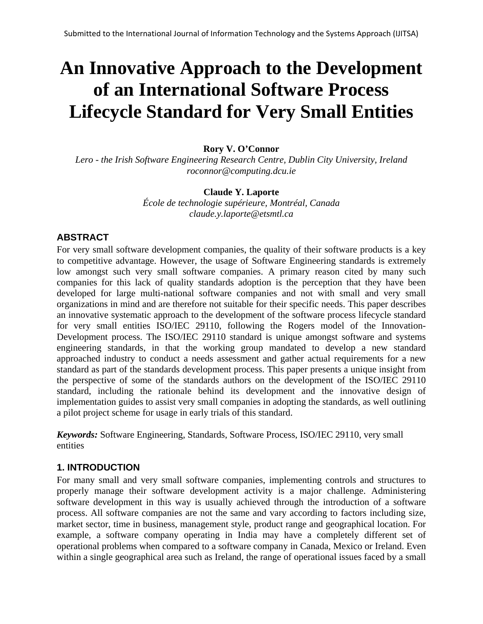# **An Innovative Approach to the Development of an International Software Process Lifecycle Standard for Very Small Entities**

#### **Rory V. O'Connor**

*Lero - the Irish Software Engineering Research Centre, Dublin City University, Ireland roconnor@computing.dcu.ie* 

#### **Claude Y. Laporte**

*École de technologie supérieure, Montréal, Canada claude.y.laporte@etsmtl.ca* 

## **ABSTRACT**

For very small software development companies, the quality of their software products is a key to competitive advantage. However, the usage of Software Engineering standards is extremely low amongst such very small software companies. A primary reason cited by many such companies for this lack of quality standards adoption is the perception that they have been developed for large multi-national software companies and not with small and very small organizations in mind and are therefore not suitable for their specific needs. This paper describes an innovative systematic approach to the development of the software process lifecycle standard for very small entities ISO/IEC 29110, following the Rogers model of the Innovation-Development process. The ISO/IEC 29110 standard is unique amongst software and systems engineering standards, in that the working group mandated to develop a new standard approached industry to conduct a needs assessment and gather actual requirements for a new standard as part of the standards development process. This paper presents a unique insight from the perspective of some of the standards authors on the development of the ISO/IEC 29110 standard, including the rationale behind its development and the innovative design of implementation guides to assist very small companies in adopting the standards, as well outlining a pilot project scheme for usage in early trials of this standard.

*Keywords:* Software Engineering, Standards, Software Process, ISO/IEC 29110, very small entities

## **1. INTRODUCTION**

For many small and very small software companies, implementing controls and structures to properly manage their software development activity is a major challenge. Administering software development in this way is usually achieved through the introduction of a software process. All software companies are not the same and vary according to factors including size, market sector, time in business, management style, product range and geographical location. For example, a software company operating in India may have a completely different set of operational problems when compared to a software company in Canada, Mexico or Ireland. Even within a single geographical area such as Ireland, the range of operational issues faced by a small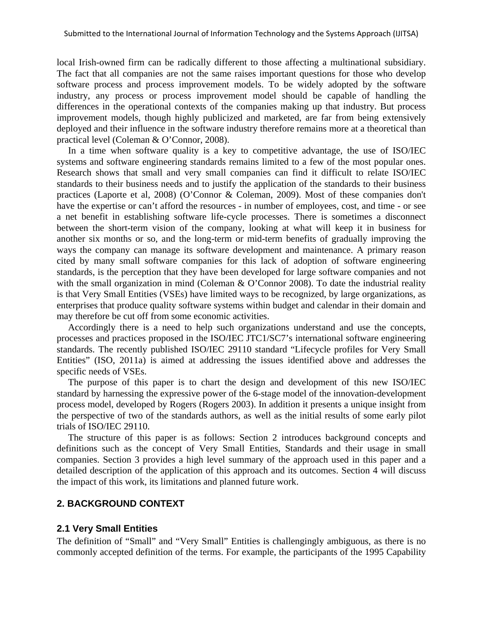local Irish-owned firm can be radically different to those affecting a multinational subsidiary. The fact that all companies are not the same raises important questions for those who develop software process and process improvement models. To be widely adopted by the software industry, any process or process improvement model should be capable of handling the differences in the operational contexts of the companies making up that industry. But process improvement models, though highly publicized and marketed, are far from being extensively deployed and their influence in the software industry therefore remains more at a theoretical than practical level (Coleman & O'Connor, 2008).

In a time when software quality is a key to competitive advantage, the use of ISO/IEC systems and software engineering standards remains limited to a few of the most popular ones. Research shows that small and very small companies can find it difficult to relate ISO/IEC standards to their business needs and to justify the application of the standards to their business practices (Laporte et al, 2008) (O'Connor & Coleman, 2009). Most of these companies don't have the expertise or can't afford the resources - in number of employees, cost, and time - or see a net benefit in establishing software life-cycle processes. There is sometimes a disconnect between the short-term vision of the company, looking at what will keep it in business for another six months or so, and the long-term or mid-term benefits of gradually improving the ways the company can manage its software development and maintenance. A primary reason cited by many small software companies for this lack of adoption of software engineering standards, is the perception that they have been developed for large software companies and not with the small organization in mind (Coleman & O'Connor 2008). To date the industrial reality is that Very Small Entities (VSEs) have limited ways to be recognized, by large organizations, as enterprises that produce quality software systems within budget and calendar in their domain and may therefore be cut off from some economic activities.

Accordingly there is a need to help such organizations understand and use the concepts, processes and practices proposed in the ISO/IEC JTC1/SC7's international software engineering standards. The recently published ISO/IEC 29110 standard "Lifecycle profiles for Very Small Entities" (ISO, 2011a) is aimed at addressing the issues identified above and addresses the specific needs of VSEs.

The purpose of this paper is to chart the design and development of this new ISO/IEC standard by harnessing the expressive power of the 6-stage model of the innovation-development process model, developed by Rogers (Rogers 2003). In addition it presents a unique insight from the perspective of two of the standards authors, as well as the initial results of some early pilot trials of ISO/IEC 29110.

The structure of this paper is as follows: Section 2 introduces background concepts and definitions such as the concept of Very Small Entities, Standards and their usage in small companies. Section 3 provides a high level summary of the approach used in this paper and a detailed description of the application of this approach and its outcomes. Section 4 will discuss the impact of this work, its limitations and planned future work.

#### **2. BACKGROUND CONTEXT**

#### **2.1 Very Small Entities**

The definition of "Small" and "Very Small" Entities is challengingly ambiguous, as there is no commonly accepted definition of the terms. For example, the participants of the 1995 Capability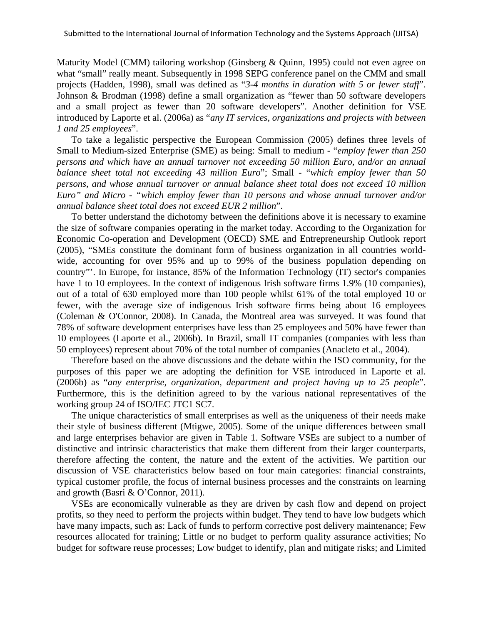Maturity Model (CMM) tailoring workshop (Ginsberg & Quinn, 1995) could not even agree on what "small" really meant. Subsequently in 1998 SEPG conference panel on the CMM and small projects (Hadden, 1998), small was defined as "*3-4 months in duration with 5 or fewer staff*". Johnson & Brodman (1998) define a small organization as "fewer than 50 software developers and a small project as fewer than 20 software developers". Another definition for VSE introduced by Laporte et al. (2006a) as "*any IT services, organizations and projects with between 1 and 25 employees*".

 To take a legalistic perspective the European Commission (2005) defines three levels of Small to Medium-sized Enterprise (SME) as being: Small to medium - "*employ fewer than 250 persons and which have an annual turnover not exceeding 50 million Euro, and/or an annual balance sheet total not exceeding 43 million Euro*"; Small - "*which employ fewer than 50 persons, and whose annual turnover or annual balance sheet total does not exceed 10 million Euro" and Micro - "which employ fewer than 10 persons and whose annual turnover and/or annual balance sheet total does not exceed EUR 2 million*".

 To better understand the dichotomy between the definitions above it is necessary to examine the size of software companies operating in the market today. According to the Organization for Economic Co-operation and Development (OECD) SME and Entrepreneurship Outlook report (2005), "SMEs constitute the dominant form of business organization in all countries worldwide, accounting for over 95% and up to 99% of the business population depending on country"'. In Europe, for instance, 85% of the Information Technology (IT) sector's companies have 1 to 10 employees. In the context of indigenous Irish software firms 1.9% (10 companies), out of a total of 630 employed more than 100 people whilst 61% of the total employed 10 or fewer, with the average size of indigenous Irish software firms being about 16 employees (Coleman & O'Connor, 2008). In Canada, the Montreal area was surveyed. It was found that 78% of software development enterprises have less than 25 employees and 50% have fewer than 10 employees (Laporte et al., 2006b). In Brazil, small IT companies (companies with less than 50 employees) represent about 70% of the total number of companies (Anacleto et al., 2004).

 Therefore based on the above discussions and the debate within the ISO community, for the purposes of this paper we are adopting the definition for VSE introduced in Laporte et al. (2006b) as "*any enterprise, organization, department and project having up to 25 people*". Furthermore, this is the definition agreed to by the various national representatives of the working group 24 of ISO/IEC JTC1 SC7.

 The unique characteristics of small enterprises as well as the uniqueness of their needs make their style of business different (Mtigwe, 2005). Some of the unique differences between small and large enterprises behavior are given in Table 1. Software VSEs are subject to a number of distinctive and intrinsic characteristics that make them different from their larger counterparts, therefore affecting the content, the nature and the extent of the activities. We partition our discussion of VSE characteristics below based on four main categories: financial constraints, typical customer profile, the focus of internal business processes and the constraints on learning and growth (Basri & O'Connor, 2011).

 VSEs are economically vulnerable as they are driven by cash flow and depend on project profits, so they need to perform the projects within budget. They tend to have low budgets which have many impacts, such as: Lack of funds to perform corrective post delivery maintenance; Few resources allocated for training; Little or no budget to perform quality assurance activities; No budget for software reuse processes; Low budget to identify, plan and mitigate risks; and Limited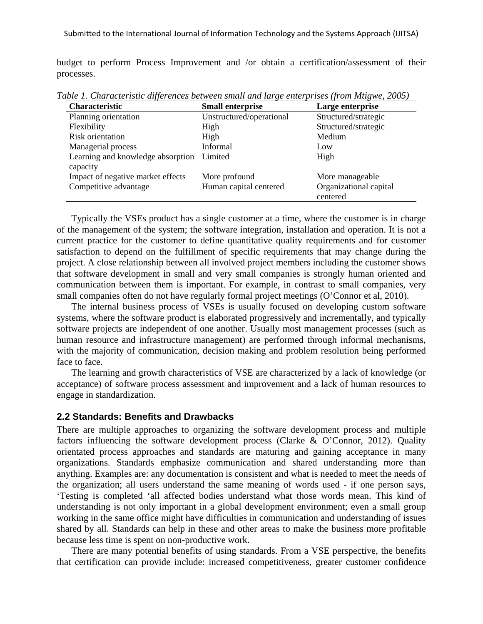budget to perform Process Improvement and /or obtain a certification/assessment of their processes.

| Characteristic                                | <b>Small enterprise</b>  | Large enterprise                   |
|-----------------------------------------------|--------------------------|------------------------------------|
| Planning orientation                          | Unstructured/operational | Structured/strategic               |
| Flexibility                                   | High                     | Structured/strategic               |
| Risk orientation                              | High                     | Medium                             |
| Managerial process                            | Informal                 | Low                                |
| Learning and knowledge absorption<br>capacity | Limited                  | High                               |
| Impact of negative market effects             | More profound            | More manageable                    |
| Competitive advantage                         | Human capital centered   | Organizational capital<br>centered |

*Table 1. Characteristic differences between small and large enterprises (from Mtigwe, 2005)* 

 Typically the VSEs product has a single customer at a time, where the customer is in charge of the management of the system; the software integration, installation and operation. It is not a current practice for the customer to define quantitative quality requirements and for customer satisfaction to depend on the fulfillment of specific requirements that may change during the project. A close relationship between all involved project members including the customer shows that software development in small and very small companies is strongly human oriented and communication between them is important. For example, in contrast to small companies, very small companies often do not have regularly formal project meetings (O'Connor et al, 2010).

 The internal business process of VSEs is usually focused on developing custom software systems, where the software product is elaborated progressively and incrementally, and typically software projects are independent of one another. Usually most management processes (such as human resource and infrastructure management) are performed through informal mechanisms, with the majority of communication, decision making and problem resolution being performed face to face.

 The learning and growth characteristics of VSE are characterized by a lack of knowledge (or acceptance) of software process assessment and improvement and a lack of human resources to engage in standardization.

#### **2.2 Standards: Benefits and Drawbacks**

There are multiple approaches to organizing the software development process and multiple factors influencing the software development process (Clarke  $\&$  O'Connor, 2012). Quality orientated process approaches and standards are maturing and gaining acceptance in many organizations. Standards emphasize communication and shared understanding more than anything. Examples are: any documentation is consistent and what is needed to meet the needs of the organization; all users understand the same meaning of words used - if one person says, 'Testing is completed 'all affected bodies understand what those words mean. This kind of understanding is not only important in a global development environment; even a small group working in the same office might have difficulties in communication and understanding of issues shared by all. Standards can help in these and other areas to make the business more profitable because less time is spent on non-productive work.

 There are many potential benefits of using standards. From a VSE perspective, the benefits that certification can provide include: increased competitiveness, greater customer confidence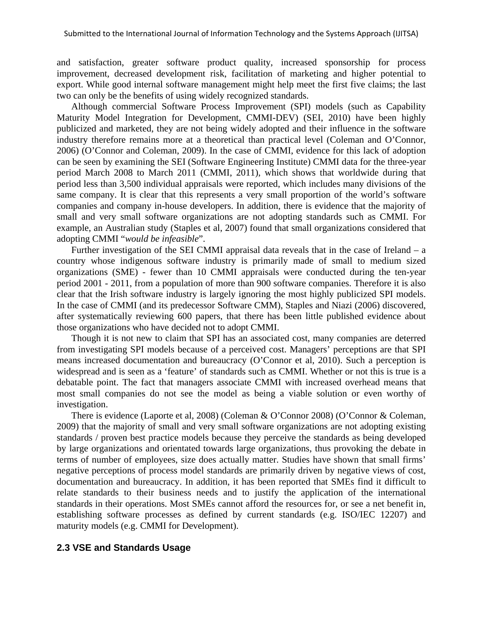and satisfaction, greater software product quality, increased sponsorship for process improvement, decreased development risk, facilitation of marketing and higher potential to export. While good internal software management might help meet the first five claims; the last two can only be the benefits of using widely recognized standards.

 Although commercial Software Process Improvement (SPI) models (such as Capability Maturity Model Integration for Development, CMMI-DEV) (SEI, 2010) have been highly publicized and marketed, they are not being widely adopted and their influence in the software industry therefore remains more at a theoretical than practical level (Coleman and O'Connor, 2006) (O'Connor and Coleman, 2009). In the case of CMMI, evidence for this lack of adoption can be seen by examining the SEI (Software Engineering Institute) CMMI data for the three-year period March 2008 to March 2011 (CMMI, 2011), which shows that worldwide during that period less than 3,500 individual appraisals were reported, which includes many divisions of the same company. It is clear that this represents a very small proportion of the world's software companies and company in-house developers. In addition, there is evidence that the majority of small and very small software organizations are not adopting standards such as CMMI. For example, an Australian study (Staples et al, 2007) found that small organizations considered that adopting CMMI "*would be infeasible*".

 Further investigation of the SEI CMMI appraisal data reveals that in the case of Ireland – a country whose indigenous software industry is primarily made of small to medium sized organizations (SME) - fewer than 10 CMMI appraisals were conducted during the ten-year period 2001 - 2011, from a population of more than 900 software companies. Therefore it is also clear that the Irish software industry is largely ignoring the most highly publicized SPI models. In the case of CMMI (and its predecessor Software CMM), Staples and Niazi (2006) discovered, after systematically reviewing 600 papers, that there has been little published evidence about those organizations who have decided not to adopt CMMI.

 Though it is not new to claim that SPI has an associated cost, many companies are deterred from investigating SPI models because of a perceived cost. Managers' perceptions are that SPI means increased documentation and bureaucracy (O'Connor et al, 2010). Such a perception is widespread and is seen as a 'feature' of standards such as CMMI. Whether or not this is true is a debatable point. The fact that managers associate CMMI with increased overhead means that most small companies do not see the model as being a viable solution or even worthy of investigation.

 There is evidence (Laporte et al, 2008) (Coleman & O'Connor 2008) (O'Connor & Coleman, 2009) that the majority of small and very small software organizations are not adopting existing standards / proven best practice models because they perceive the standards as being developed by large organizations and orientated towards large organizations, thus provoking the debate in terms of number of employees, size does actually matter. Studies have shown that small firms' negative perceptions of process model standards are primarily driven by negative views of cost, documentation and bureaucracy. In addition, it has been reported that SMEs find it difficult to relate standards to their business needs and to justify the application of the international standards in their operations. Most SMEs cannot afford the resources for, or see a net benefit in, establishing software processes as defined by current standards (e.g. ISO/IEC 12207) and maturity models (e.g. CMMI for Development).

#### **2.3 VSE and Standards Usage**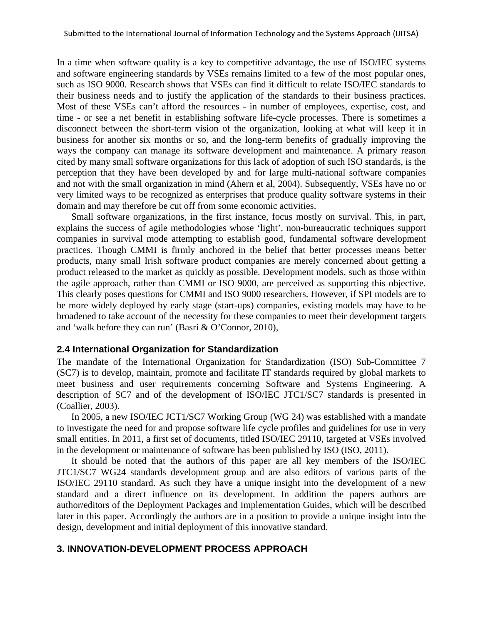In a time when software quality is a key to competitive advantage, the use of ISO/IEC systems and software engineering standards by VSEs remains limited to a few of the most popular ones, such as ISO 9000. Research shows that VSEs can find it difficult to relate ISO/IEC standards to their business needs and to justify the application of the standards to their business practices. Most of these VSEs can't afford the resources - in number of employees, expertise, cost, and time - or see a net benefit in establishing software life-cycle processes. There is sometimes a disconnect between the short-term vision of the organization, looking at what will keep it in business for another six months or so, and the long-term benefits of gradually improving the ways the company can manage its software development and maintenance. A primary reason cited by many small software organizations for this lack of adoption of such ISO standards, is the perception that they have been developed by and for large multi-national software companies and not with the small organization in mind (Ahern et al, 2004). Subsequently, VSEs have no or very limited ways to be recognized as enterprises that produce quality software systems in their domain and may therefore be cut off from some economic activities.

 Small software organizations, in the first instance, focus mostly on survival. This, in part, explains the success of agile methodologies whose 'light', non-bureaucratic techniques support companies in survival mode attempting to establish good, fundamental software development practices. Though CMMI is firmly anchored in the belief that better processes means better products, many small Irish software product companies are merely concerned about getting a product released to the market as quickly as possible. Development models, such as those within the agile approach, rather than CMMI or ISO 9000, are perceived as supporting this objective. This clearly poses questions for CMMI and ISO 9000 researchers. However, if SPI models are to be more widely deployed by early stage (start-ups) companies, existing models may have to be broadened to take account of the necessity for these companies to meet their development targets and 'walk before they can run' (Basri & O'Connor, 2010),

## **2.4 International Organization for Standardization**

The mandate of the International Organization for Standardization (ISO) Sub-Committee 7 (SC7) is to develop, maintain, promote and facilitate IT standards required by global markets to meet business and user requirements concerning Software and Systems Engineering. A description of SC7 and of the development of ISO/IEC JTC1/SC7 standards is presented in (Coallier, 2003).

 In 2005, a new ISO/IEC JCT1/SC7 Working Group (WG 24) was established with a mandate to investigate the need for and propose software life cycle profiles and guidelines for use in very small entities. In 2011, a first set of documents, titled ISO/IEC 29110, targeted at VSEs involved in the development or maintenance of software has been published by ISO (ISO, 2011).

 It should be noted that the authors of this paper are all key members of the ISO/IEC JTC1/SC7 WG24 standards development group and are also editors of various parts of the ISO/IEC 29110 standard. As such they have a unique insight into the development of a new standard and a direct influence on its development. In addition the papers authors are author/editors of the Deployment Packages and Implementation Guides, which will be described later in this paper. Accordingly the authors are in a position to provide a unique insight into the design, development and initial deployment of this innovative standard.

## **3. INNOVATION-DEVELOPMENT PROCESS APPROACH**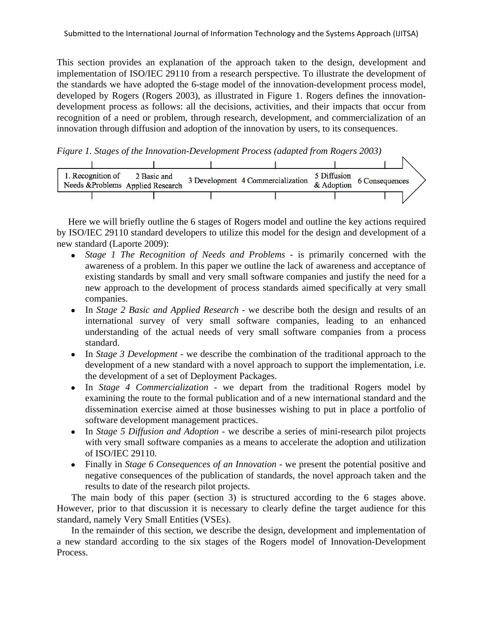This section provides an explanation of the approach taken to the design, development and implementation of ISO/IEC 29110 from a research perspective. To illustrate the development of the standards we have adopted the 6-stage model of the innovation-development process model, developed by Rogers (Rogers 2003), as illustrated in Figure 1. Rogers defines the innovationdevelopment process as follows: all the decisions, activities, and their impacts that occur from recognition of a need or problem, through research, development, and commercialization of an innovation through diffusion and adoption of the innovation by users, to its consequences.

*Figure 1. Stages of the Innovation-Development Process (adapted from Rogers 2003)* 



Here we will briefly outline the 6 stages of Rogers model and outline the key actions required by ISO/IEC 29110 standard developers to utilize this model for the design and development of a new standard (Laporte 2009):

- *Stage 1 The Recognition of Needs and Problems* is primarily concerned with the awareness of a problem. In this paper we outline the lack of awareness and acceptance of existing standards by small and very small software companies and justify the need for a new approach to the development of process standards aimed specifically at very small companies.
- In *Stage 2 Basic and Applied Research* we describe both the design and results of an international survey of very small software companies, leading to an enhanced understanding of the actual needs of very small software companies from a process standard.
- In *Stage 3 Development*  we describe the combination of the traditional approach to the development of a new standard with a novel approach to support the implementation, i.e. the development of a set of Deployment Packages.
- In *Stage 4 Commercialization* we depart from the traditional Rogers model by examining the route to the formal publication and of a new international standard and the dissemination exercise aimed at those businesses wishing to put in place a portfolio of software development management practices.
- In *Stage 5 Diffusion and Adoption* we describe a series of mini-research pilot projects with very small software companies as a means to accelerate the adoption and utilization of ISO/IEC 29110.
- Finally in *Stage 6 Consequences of an Innovation* we present the potential positive and negative consequences of the publication of standards, the novel approach taken and the results to date of the research pilot projects.

 The main body of this paper (section 3) is structured according to the 6 stages above. However, prior to that discussion it is necessary to clearly define the target audience for this standard, namely Very Small Entities (VSEs).

 In the remainder of this section, we describe the design, development and implementation of a new standard according to the six stages of the Rogers model of Innovation-Development Process.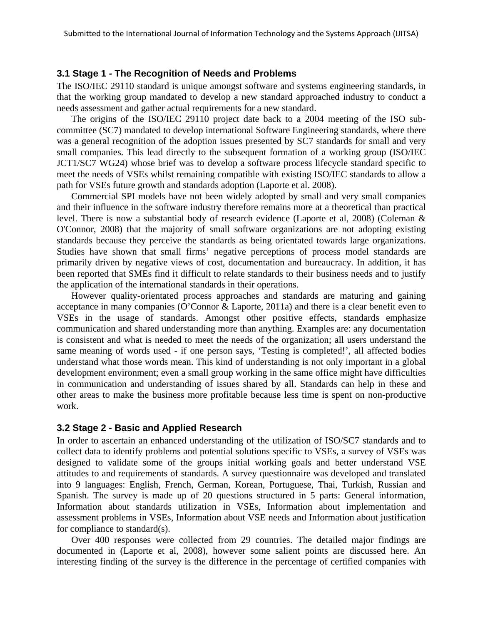#### **3.1 Stage 1 - The Recognition of Needs and Problems**

The ISO/IEC 29110 standard is unique amongst software and systems engineering standards, in that the working group mandated to develop a new standard approached industry to conduct a needs assessment and gather actual requirements for a new standard.

 The origins of the ISO/IEC 29110 project date back to a 2004 meeting of the ISO subcommittee (SC7) mandated to develop international Software Engineering standards, where there was a general recognition of the adoption issues presented by SC7 standards for small and very small companies. This lead directly to the subsequent formation of a working group (ISO/IEC JCT1/SC7 WG24) whose brief was to develop a software process lifecycle standard specific to meet the needs of VSEs whilst remaining compatible with existing ISO/IEC standards to allow a path for VSEs future growth and standards adoption (Laporte et al. 2008).

 Commercial SPI models have not been widely adopted by small and very small companies and their influence in the software industry therefore remains more at a theoretical than practical level. There is now a substantial body of research evidence (Laporte et al, 2008) (Coleman & O'Connor, 2008) that the majority of small software organizations are not adopting existing standards because they perceive the standards as being orientated towards large organizations. Studies have shown that small firms' negative perceptions of process model standards are primarily driven by negative views of cost, documentation and bureaucracy. In addition, it has been reported that SMEs find it difficult to relate standards to their business needs and to justify the application of the international standards in their operations.

 However quality-orientated process approaches and standards are maturing and gaining acceptance in many companies (O'Connor & Laporte, 2011a) and there is a clear benefit even to VSEs in the usage of standards. Amongst other positive effects, standards emphasize communication and shared understanding more than anything. Examples are: any documentation is consistent and what is needed to meet the needs of the organization; all users understand the same meaning of words used - if one person says, 'Testing is completed!', all affected bodies understand what those words mean. This kind of understanding is not only important in a global development environment; even a small group working in the same office might have difficulties in communication and understanding of issues shared by all. Standards can help in these and other areas to make the business more profitable because less time is spent on non-productive work.

#### **3.2 Stage 2 - Basic and Applied Research**

In order to ascertain an enhanced understanding of the utilization of ISO/SC7 standards and to collect data to identify problems and potential solutions specific to VSEs, a survey of VSEs was designed to validate some of the groups initial working goals and better understand VSE attitudes to and requirements of standards. A survey questionnaire was developed and translated into 9 languages: English, French, German, Korean, Portuguese, Thai, Turkish, Russian and Spanish. The survey is made up of 20 questions structured in 5 parts: General information, Information about standards utilization in VSEs, Information about implementation and assessment problems in VSEs, Information about VSE needs and Information about justification for compliance to standard(s).

 Over 400 responses were collected from 29 countries. The detailed major findings are documented in (Laporte et al, 2008), however some salient points are discussed here. An interesting finding of the survey is the difference in the percentage of certified companies with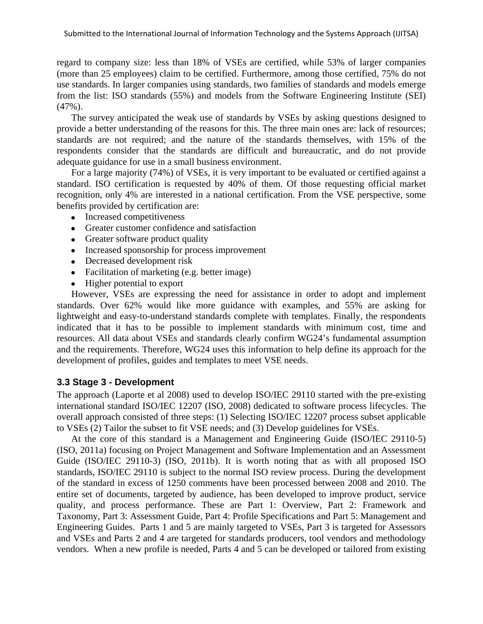regard to company size: less than 18% of VSEs are certified, while 53% of larger companies (more than 25 employees) claim to be certified. Furthermore, among those certified, 75% do not use standards. In larger companies using standards, two families of standards and models emerge from the list: ISO standards (55%) and models from the Software Engineering Institute (SEI) (47%).

 The survey anticipated the weak use of standards by VSEs by asking questions designed to provide a better understanding of the reasons for this. The three main ones are: lack of resources; standards are not required; and the nature of the standards themselves, with 15% of the respondents consider that the standards are difficult and bureaucratic, and do not provide adequate guidance for use in a small business environment.

 For a large majority (74%) of VSEs, it is very important to be evaluated or certified against a standard. ISO certification is requested by 40% of them. Of those requesting official market recognition, only 4% are interested in a national certification. From the VSE perspective, some benefits provided by certification are:

- Increased competitiveness
- Greater customer confidence and satisfaction
- Greater software product quality
- Increased sponsorship for process improvement
- Decreased development risk
- Facilitation of marketing (e.g. better image)
- Higher potential to export

 However, VSEs are expressing the need for assistance in order to adopt and implement standards. Over 62% would like more guidance with examples, and 55% are asking for lightweight and easy-to-understand standards complete with templates. Finally, the respondents indicated that it has to be possible to implement standards with minimum cost, time and resources. All data about VSEs and standards clearly confirm WG24's fundamental assumption and the requirements. Therefore, WG24 uses this information to help define its approach for the development of profiles, guides and templates to meet VSE needs.

## **3.3 Stage 3 - Development**

The approach (Laporte et al 2008) used to develop ISO/IEC 29110 started with the pre-existing international standard ISO/IEC 12207 (ISO, 2008) dedicated to software process lifecycles. The overall approach consisted of three steps: (1) Selecting ISO/IEC 12207 process subset applicable to VSEs (2) Tailor the subset to fit VSE needs; and (3) Develop guidelines for VSEs.

 At the core of this standard is a Management and Engineering Guide (ISO/IEC 29110-5) (ISO, 2011a) focusing on Project Management and Software Implementation and an Assessment Guide (ISO/IEC 29110-3) (ISO, 2011b). It is worth noting that as with all proposed ISO standards, ISO/IEC 29110 is subject to the normal ISO review process. During the development of the standard in excess of 1250 comments have been processed between 2008 and 2010. The entire set of documents, targeted by audience, has been developed to improve product, service quality, and process performance. These are Part 1: Overview, Part 2: Framework and Taxonomy, Part 3: Assessment Guide, Part 4: Profile Specifications and Part 5: Management and Engineering Guides. Parts 1 and 5 are mainly targeted to VSEs, Part 3 is targeted for Assessors and VSEs and Parts 2 and 4 are targeted for standards producers, tool vendors and methodology vendors. When a new profile is needed, Parts 4 and 5 can be developed or tailored from existing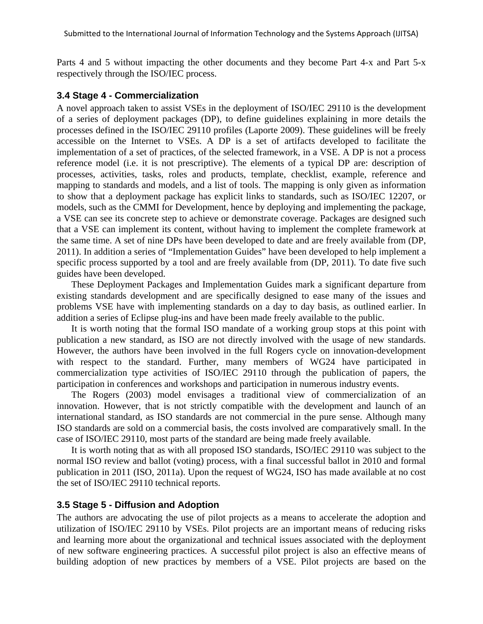Parts 4 and 5 without impacting the other documents and they become Part 4-x and Part 5-x respectively through the ISO/IEC process.

#### **3.4 Stage 4 - Commercialization**

A novel approach taken to assist VSEs in the deployment of ISO/IEC 29110 is the development of a series of deployment packages (DP), to define guidelines explaining in more details the processes defined in the ISO/IEC 29110 profiles (Laporte 2009). These guidelines will be freely accessible on the Internet to VSEs. A DP is a set of artifacts developed to facilitate the implementation of a set of practices, of the selected framework, in a VSE. A DP is not a process reference model (i.e. it is not prescriptive). The elements of a typical DP are: description of processes, activities, tasks, roles and products, template, checklist, example, reference and mapping to standards and models, and a list of tools. The mapping is only given as information to show that a deployment package has explicit links to standards, such as ISO/IEC 12207, or models, such as the CMMI for Development, hence by deploying and implementing the package, a VSE can see its concrete step to achieve or demonstrate coverage. Packages are designed such that a VSE can implement its content, without having to implement the complete framework at the same time. A set of nine DPs have been developed to date and are freely available from (DP, 2011). In addition a series of "Implementation Guides" have been developed to help implement a specific process supported by a tool and are freely available from (DP, 2011). To date five such guides have been developed.

 These Deployment Packages and Implementation Guides mark a significant departure from existing standards development and are specifically designed to ease many of the issues and problems VSE have with implementing standards on a day to day basis, as outlined earlier. In addition a series of Eclipse plug-ins and have been made freely available to the public.

 It is worth noting that the formal ISO mandate of a working group stops at this point with publication a new standard, as ISO are not directly involved with the usage of new standards. However, the authors have been involved in the full Rogers cycle on innovation-development with respect to the standard. Further, many members of WG24 have participated in commercialization type activities of ISO/IEC 29110 through the publication of papers, the participation in conferences and workshops and participation in numerous industry events.

 The Rogers (2003) model envisages a traditional view of commercialization of an innovation. However, that is not strictly compatible with the development and launch of an international standard, as ISO standards are not commercial in the pure sense. Although many ISO standards are sold on a commercial basis, the costs involved are comparatively small. In the case of ISO/IEC 29110, most parts of the standard are being made freely available.

 It is worth noting that as with all proposed ISO standards, ISO/IEC 29110 was subject to the normal ISO review and ballot (voting) process, with a final successful ballot in 2010 and formal publication in 2011 (ISO, 2011a). Upon the request of WG24, ISO has made available at no cost the set of ISO/IEC 29110 technical reports.

## **3.5 Stage 5 - Diffusion and Adoption**

The authors are advocating the use of pilot projects as a means to accelerate the adoption and utilization of ISO/IEC 29110 by VSEs. Pilot projects are an important means of reducing risks and learning more about the organizational and technical issues associated with the deployment of new software engineering practices. A successful pilot project is also an effective means of building adoption of new practices by members of a VSE. Pilot projects are based on the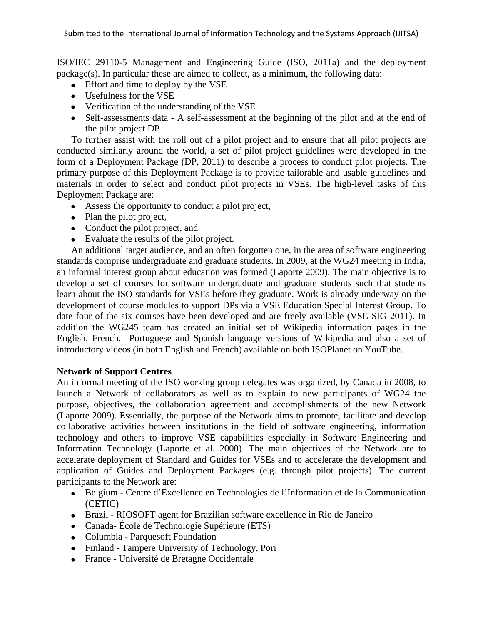ISO/IEC 29110-5 Management and Engineering Guide (ISO, 2011a) and the deployment package(s). In particular these are aimed to collect, as a minimum, the following data:

- Effort and time to deploy by the VSE
- Usefulness for the VSE
- Verification of the understanding of the VSE
- Self-assessments data A self-assessment at the beginning of the pilot and at the end of the pilot project DP

 To further assist with the roll out of a pilot project and to ensure that all pilot projects are conducted similarly around the world, a set of pilot project guidelines were developed in the form of a Deployment Package (DP, 2011) to describe a process to conduct pilot projects. The primary purpose of this Deployment Package is to provide tailorable and usable guidelines and materials in order to select and conduct pilot projects in VSEs. The high-level tasks of this Deployment Package are:

- Assess the opportunity to conduct a pilot project,
- Plan the pilot project,
- Conduct the pilot project, and
- Evaluate the results of the pilot project.

 An additional target audience, and an often forgotten one, in the area of software engineering standards comprise undergraduate and graduate students. In 2009, at the WG24 meeting in India, an informal interest group about education was formed (Laporte 2009). The main objective is to develop a set of courses for software undergraduate and graduate students such that students learn about the ISO standards for VSEs before they graduate. Work is already underway on the development of course modules to support DPs via a VSE Education Special Interest Group. To date four of the six courses have been developed and are freely available (VSE SIG 2011). In addition the WG245 team has created an initial set of Wikipedia information pages in the English, French, Portuguese and Spanish language versions of Wikipedia and also a set of introductory videos (in both English and French) available on both ISOPlanet on YouTube.

## **Network of Support Centres**

An informal meeting of the ISO working group delegates was organized, by Canada in 2008, to launch a Network of collaborators as well as to explain to new participants of WG24 the purpose, objectives, the collaboration agreement and accomplishments of the new Network (Laporte 2009). Essentially, the purpose of the Network aims to promote, facilitate and develop collaborative activities between institutions in the field of software engineering, information technology and others to improve VSE capabilities especially in Software Engineering and Information Technology (Laporte et al. 2008). The main objectives of the Network are to accelerate deployment of Standard and Guides for VSEs and to accelerate the development and application of Guides and Deployment Packages (e.g. through pilot projects). The current participants to the Network are:

- Belgium Centre d'Excellence en Technologies de l'Information et de la Communication (CETIC)
- Brazil RIOSOFT agent for Brazilian software excellence in Rio de Janeiro
- Canada- École de Technologie Supérieure (ETS)
- Columbia Parquesoft Foundation
- Finland Tampere University of Technology, Pori
- France Université de Bretagne Occidentale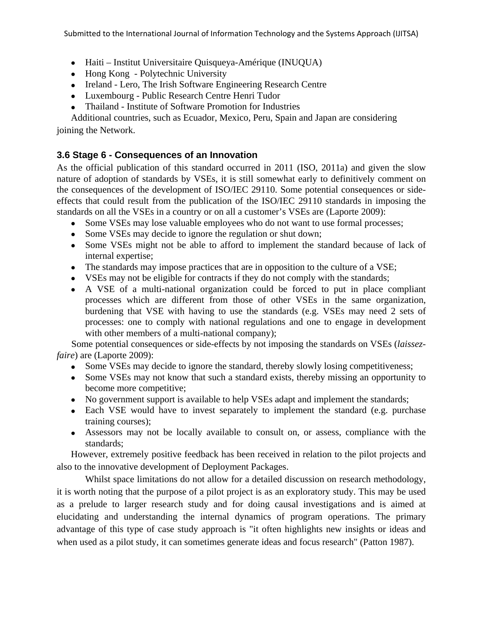- Haiti Institut Universitaire Quisqueya-Amérique (INUQUA)
- Hong Kong Polytechnic University
- Ireland Lero, The Irish Software Engineering Research Centre
- Luxembourg Public Research Centre Henri Tudor
- Thailand Institute of Software Promotion for Industries

Additional countries, such as Ecuador, Mexico, Peru, Spain and Japan are considering joining the Network.

# **3.6 Stage 6 - Consequences of an Innovation**

As the official publication of this standard occurred in 2011 (ISO, 2011a) and given the slow nature of adoption of standards by VSEs, it is still somewhat early to definitively comment on the consequences of the development of ISO/IEC 29110. Some potential consequences or sideeffects that could result from the publication of the ISO/IEC 29110 standards in imposing the standards on all the VSEs in a country or on all a customer's VSEs are (Laporte 2009):

- Some VSEs may lose valuable employees who do not want to use formal processes;
- Some VSEs may decide to ignore the regulation or shut down;
- Some VSEs might not be able to afford to implement the standard because of lack of internal expertise;
- The standards may impose practices that are in opposition to the culture of a VSE;
- VSEs may not be eligible for contracts if they do not comply with the standards;
- A VSE of a multi-national organization could be forced to put in place compliant processes which are different from those of other VSEs in the same organization, burdening that VSE with having to use the standards (e.g. VSEs may need 2 sets of processes: one to comply with national regulations and one to engage in development with other members of a multi-national company);

 Some potential consequences or side-effects by not imposing the standards on VSEs (*laissezfaire*) are (Laporte 2009):

- Some VSEs may decide to ignore the standard, thereby slowly losing competitiveness;
- Some VSEs may not know that such a standard exists, thereby missing an opportunity to become more competitive;
- No government support is available to help VSEs adapt and implement the standards;
- Each VSE would have to invest separately to implement the standard (e.g. purchase training courses);
- Assessors may not be locally available to consult on, or assess, compliance with the standards;

However, extremely positive feedback has been received in relation to the pilot projects and also to the innovative development of Deployment Packages.

Whilst space limitations do not allow for a detailed discussion on research methodology, it is worth noting that the purpose of a pilot project is as an exploratory study. This may be used as a prelude to larger research study and for doing causal investigations and is aimed at elucidating and understanding the internal dynamics of program operations. The primary advantage of this type of case study approach is "it often highlights new insights or ideas and when used as a pilot study, it can sometimes generate ideas and focus research" (Patton 1987).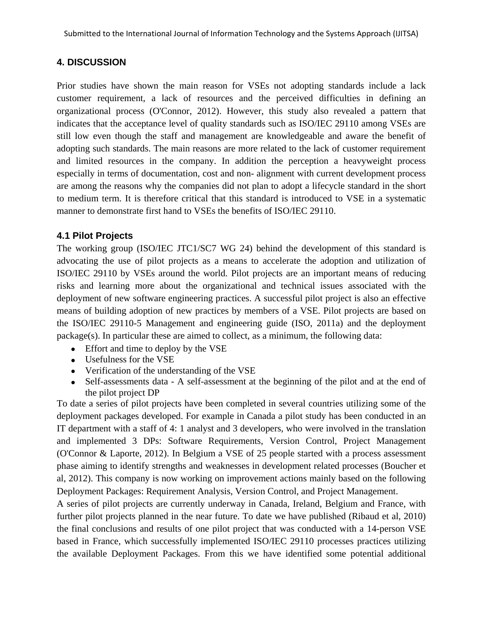Submitted to the International Journal of Information Technology and the Systems Approach (IJITSA)

## **4. DISCUSSION**

Prior studies have shown the main reason for VSEs not adopting standards include a lack customer requirement, a lack of resources and the perceived difficulties in defining an organizational process (O'Connor, 2012). However, this study also revealed a pattern that indicates that the acceptance level of quality standards such as ISO/IEC 29110 among VSEs are still low even though the staff and management are knowledgeable and aware the benefit of adopting such standards. The main reasons are more related to the lack of customer requirement and limited resources in the company. In addition the perception a heavyweight process especially in terms of documentation, cost and non- alignment with current development process are among the reasons why the companies did not plan to adopt a lifecycle standard in the short to medium term. It is therefore critical that this standard is introduced to VSE in a systematic manner to demonstrate first hand to VSEs the benefits of ISO/IEC 29110.

# **4.1 Pilot Projects**

The working group (ISO/IEC JTC1/SC7 WG 24) behind the development of this standard is advocating the use of pilot projects as a means to accelerate the adoption and utilization of ISO/IEC 29110 by VSEs around the world. Pilot projects are an important means of reducing risks and learning more about the organizational and technical issues associated with the deployment of new software engineering practices. A successful pilot project is also an effective means of building adoption of new practices by members of a VSE. Pilot projects are based on the ISO/IEC 29110-5 Management and engineering guide (ISO, 2011a) and the deployment package(s). In particular these are aimed to collect, as a minimum, the following data:

- Effort and time to deploy by the VSE
- Usefulness for the VSE
- Verification of the understanding of the VSE
- Self-assessments data A self-assessment at the beginning of the pilot and at the end of the pilot project DP

To date a series of pilot projects have been completed in several countries utilizing some of the deployment packages developed. For example in Canada a pilot study has been conducted in an IT department with a staff of 4: 1 analyst and 3 developers, who were involved in the translation and implemented 3 DPs: Software Requirements, Version Control, Project Management (O'Connor & Laporte, 2012). In Belgium a VSE of 25 people started with a process assessment phase aiming to identify strengths and weaknesses in development related processes (Boucher et al, 2012). This company is now working on improvement actions mainly based on the following Deployment Packages: Requirement Analysis, Version Control, and Project Management.

A series of pilot projects are currently underway in Canada, Ireland, Belgium and France, with further pilot projects planned in the near future. To date we have published (Ribaud et al, 2010) the final conclusions and results of one pilot project that was conducted with a 14-person VSE based in France, which successfully implemented ISO/IEC 29110 processes practices utilizing the available Deployment Packages. From this we have identified some potential additional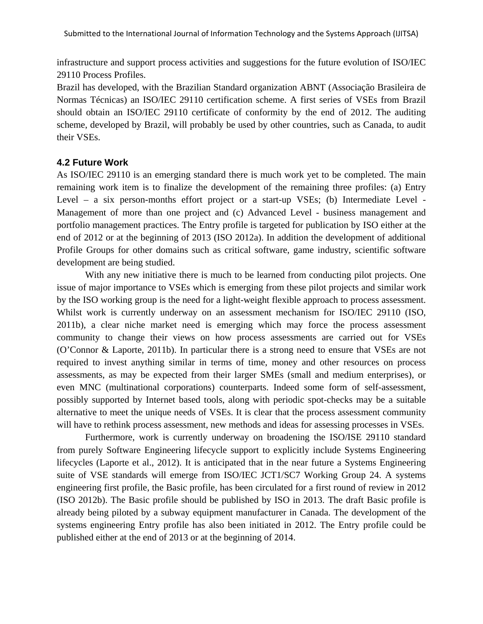infrastructure and support process activities and suggestions for the future evolution of ISO/IEC 29110 Process Profiles.

Brazil has developed, with the Brazilian Standard organization ABNT (Associação Brasileira de Normas Técnicas) an ISO/IEC 29110 certification scheme. A first series of VSEs from Brazil should obtain an ISO/IEC 29110 certificate of conformity by the end of 2012. The auditing scheme, developed by Brazil, will probably be used by other countries, such as Canada, to audit their VSEs.

# **4.2 Future Work**

As ISO/IEC 29110 is an emerging standard there is much work yet to be completed. The main remaining work item is to finalize the development of the remaining three profiles: (a) Entry Level – a six person-months effort project or a start-up VSEs; (b) Intermediate Level - Management of more than one project and (c) Advanced Level - business management and portfolio management practices. The Entry profile is targeted for publication by ISO either at the end of 2012 or at the beginning of 2013 (ISO 2012a). In addition the development of additional Profile Groups for other domains such as critical software, game industry, scientific software development are being studied.

With any new initiative there is much to be learned from conducting pilot projects. One issue of major importance to VSEs which is emerging from these pilot projects and similar work by the ISO working group is the need for a light-weight flexible approach to process assessment. Whilst work is currently underway on an assessment mechanism for ISO/IEC 29110 (ISO, 2011b), a clear niche market need is emerging which may force the process assessment community to change their views on how process assessments are carried out for VSEs (O'Connor & Laporte, 2011b). In particular there is a strong need to ensure that VSEs are not required to invest anything similar in terms of time, money and other resources on process assessments, as may be expected from their larger SMEs (small and medium enterprises), or even MNC (multinational corporations) counterparts. Indeed some form of self-assessment, possibly supported by Internet based tools, along with periodic spot-checks may be a suitable alternative to meet the unique needs of VSEs. It is clear that the process assessment community will have to rethink process assessment, new methods and ideas for assessing processes in VSEs.

Furthermore, work is currently underway on broadening the ISO/ISE 29110 standard from purely Software Engineering lifecycle support to explicitly include Systems Engineering lifecycles (Laporte et al., 2012). It is anticipated that in the near future a Systems Engineering suite of VSE standards will emerge from ISO/IEC JCT1/SC7 Working Group 24. A systems engineering first profile, the Basic profile, has been circulated for a first round of review in 2012 (ISO 2012b). The Basic profile should be published by ISO in 2013. The draft Basic profile is already being piloted by a subway equipment manufacturer in Canada. The development of the systems engineering Entry profile has also been initiated in 2012. The Entry profile could be published either at the end of 2013 or at the beginning of 2014.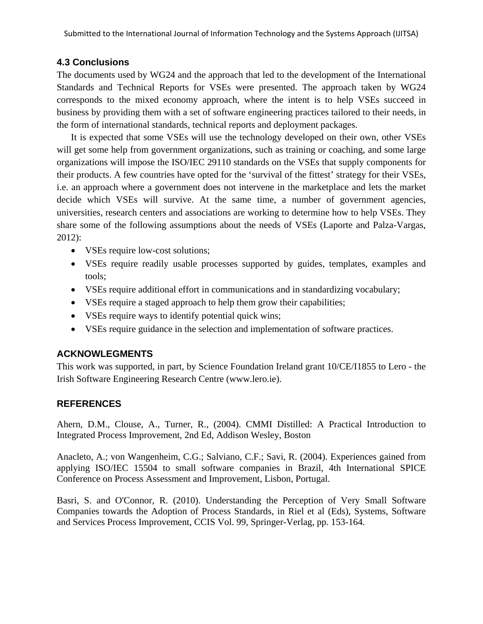## **4.3 Conclusions**

The documents used by WG24 and the approach that led to the development of the International Standards and Technical Reports for VSEs were presented. The approach taken by WG24 corresponds to the mixed economy approach, where the intent is to help VSEs succeed in business by providing them with a set of software engineering practices tailored to their needs, in the form of international standards, technical reports and deployment packages.

It is expected that some VSEs will use the technology developed on their own, other VSEs will get some help from government organizations, such as training or coaching, and some large organizations will impose the ISO/IEC 29110 standards on the VSEs that supply components for their products. A few countries have opted for the 'survival of the fittest' strategy for their VSEs, i.e. an approach where a government does not intervene in the marketplace and lets the market decide which VSEs will survive. At the same time, a number of government agencies, universities, research centers and associations are working to determine how to help VSEs. They share some of the following assumptions about the needs of VSEs (Laporte and Palza-Vargas, 2012):

- VSEs require low-cost solutions;
- VSEs require readily usable processes supported by guides, templates, examples and tools;
- VSEs require additional effort in communications and in standardizing vocabulary;
- VSEs require a staged approach to help them grow their capabilities;
- VSEs require ways to identify potential quick wins;
- VSEs require guidance in the selection and implementation of software practices.

## **ACKNOWLEGMENTS**

This work was supported, in part, by Science Foundation Ireland grant 10/CE/I1855 to Lero - the Irish Software Engineering Research Centre (www.lero.ie).

## **REFERENCES**

Ahern, D.M., Clouse, A., Turner, R., (2004). CMMI Distilled: A Practical Introduction to Integrated Process Improvement, 2nd Ed, Addison Wesley, Boston

Anacleto, A.; von Wangenheim, C.G.; Salviano, C.F.; Savi, R. (2004). Experiences gained from applying ISO/IEC 15504 to small software companies in Brazil, 4th International SPICE Conference on Process Assessment and Improvement, Lisbon, Portugal.

Basri, S. and O'Connor, R. (2010). Understanding the Perception of Very Small Software Companies towards the Adoption of Process Standards, in Riel et al (Eds), Systems, Software and Services Process Improvement, CCIS Vol. 99, Springer-Verlag, pp. 153-164.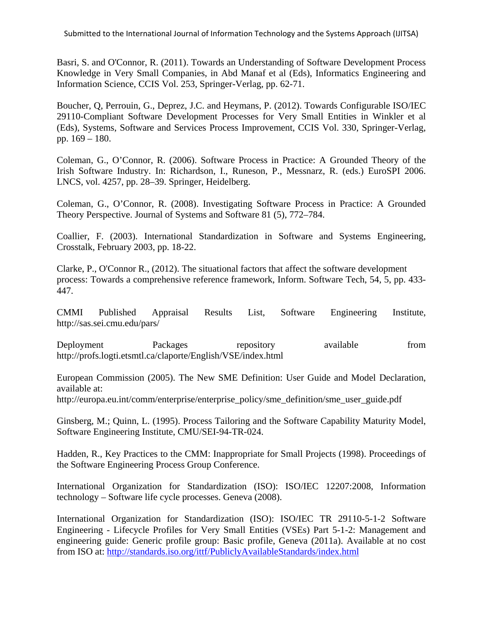Basri, S. and O'Connor, R. (2011). Towards an Understanding of Software Development Process Knowledge in Very Small Companies, in Abd Manaf et al (Eds), Informatics Engineering and Information Science, CCIS Vol. 253, Springer-Verlag, pp. 62-71.

Boucher, Q, Perrouin, G., Deprez, J.C. and Heymans, P. (2012). Towards Configurable ISO/IEC 29110-Compliant Software Development Processes for Very Small Entities in Winkler et al (Eds), Systems, Software and Services Process Improvement, CCIS Vol. 330, Springer-Verlag, pp. 169 – 180.

Coleman, G., O'Connor, R. (2006). Software Process in Practice: A Grounded Theory of the Irish Software Industry. In: Richardson, I., Runeson, P., Messnarz, R. (eds.) EuroSPI 2006. LNCS, vol. 4257, pp. 28–39. Springer, Heidelberg.

Coleman, G., O'Connor, R. (2008). Investigating Software Process in Practice: A Grounded Theory Perspective. Journal of Systems and Software 81 (5), 772–784.

Coallier, F. (2003). International Standardization in Software and Systems Engineering, Crosstalk, February 2003, pp. 18-22.

Clarke, P., O'Connor R., (2012). The situational factors that affect the software development process: Towards a comprehensive reference framework, Inform. Software Tech, 54, 5, pp. 433- 447.

CMMI Published Appraisal Results List, Software Engineering Institute, http://sas.sei.cmu.edu/pars/

Deployment Packages repository available from http://profs.logti.etsmtl.ca/claporte/English/VSE/index.html

European Commission (2005). The New SME Definition: User Guide and Model Declaration, available at:

http://europa.eu.int/comm/enterprise/enterprise\_policy/sme\_definition/sme\_user\_guide.pdf

Ginsberg, M.; Quinn, L. (1995). Process Tailoring and the Software Capability Maturity Model, Software Engineering Institute, CMU/SEI-94-TR-024.

Hadden, R., Key Practices to the CMM: Inappropriate for Small Projects (1998). Proceedings of the Software Engineering Process Group Conference.

International Organization for Standardization (ISO): ISO/IEC 12207:2008, Information technology – Software life cycle processes. Geneva (2008).

International Organization for Standardization (ISO): ISO/IEC TR 29110-5-1-2 Software Engineering - Lifecycle Profiles for Very Small Entities (VSEs) Part 5-1-2: Management and engineering guide: Generic profile group: Basic profile, Geneva (2011a). Available at no cost from ISO at: http://standards.iso.org/ittf/PubliclyAvailableStandards/index.html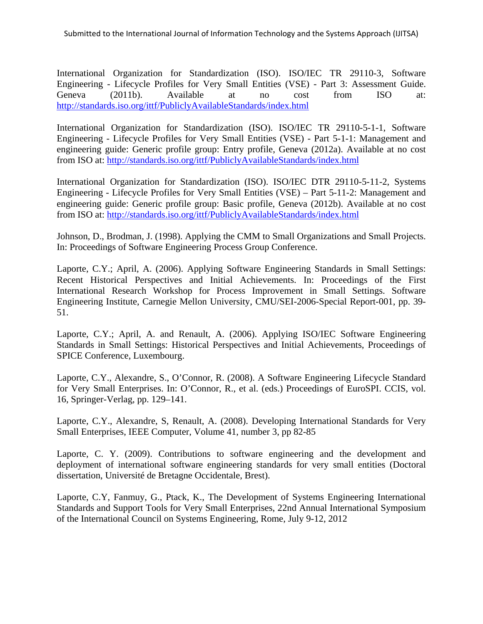International Organization for Standardization (ISO). ISO/IEC TR 29110-3, Software Engineering - Lifecycle Profiles for Very Small Entities (VSE) - Part 3: Assessment Guide. Geneva (2011b). Available at no cost from ISO at: http://standards.iso.org/ittf/PubliclyAvailableStandards/index.html

International Organization for Standardization (ISO). ISO/IEC TR 29110-5-1-1, Software Engineering - Lifecycle Profiles for Very Small Entities (VSE) - Part 5-1-1: Management and engineering guide: Generic profile group: Entry profile, Geneva (2012a). Available at no cost from ISO at: http://standards.iso.org/ittf/PubliclyAvailableStandards/index.html

International Organization for Standardization (ISO). ISO/IEC DTR 29110-5-11-2, Systems Engineering - Lifecycle Profiles for Very Small Entities (VSE) – Part 5-11-2: Management and engineering guide: Generic profile group: Basic profile, Geneva (2012b). Available at no cost from ISO at: http://standards.iso.org/ittf/PubliclyAvailableStandards/index.html

Johnson, D., Brodman, J. (1998). Applying the CMM to Small Organizations and Small Projects. In: Proceedings of Software Engineering Process Group Conference.

Laporte, C.Y.; April, A. (2006). Applying Software Engineering Standards in Small Settings: Recent Historical Perspectives and Initial Achievements. In: Proceedings of the First International Research Workshop for Process Improvement in Small Settings. Software Engineering Institute, Carnegie Mellon University, CMU/SEI-2006-Special Report-001, pp. 39- 51.

Laporte, C.Y.; April, A. and Renault, A. (2006). Applying ISO/IEC Software Engineering Standards in Small Settings: Historical Perspectives and Initial Achievements, Proceedings of SPICE Conference, Luxembourg.

Laporte, C.Y., Alexandre, S., O'Connor, R. (2008). A Software Engineering Lifecycle Standard for Very Small Enterprises. In: O'Connor, R., et al. (eds.) Proceedings of EuroSPI. CCIS, vol. 16, Springer-Verlag, pp. 129–141.

Laporte, C.Y., Alexandre, S, Renault, A. (2008). Developing International Standards for Very Small Enterprises, IEEE Computer, Volume 41, number 3, pp 82-85

Laporte, C. Y. (2009). Contributions to software engineering and the development and deployment of international software engineering standards for very small entities (Doctoral dissertation, Université de Bretagne Occidentale, Brest).

Laporte, C.Y, Fanmuy, G., Ptack, K., The Development of Systems Engineering International Standards and Support Tools for Very Small Enterprises, 22nd Annual International Symposium of the International Council on Systems Engineering, Rome, July 9-12, 2012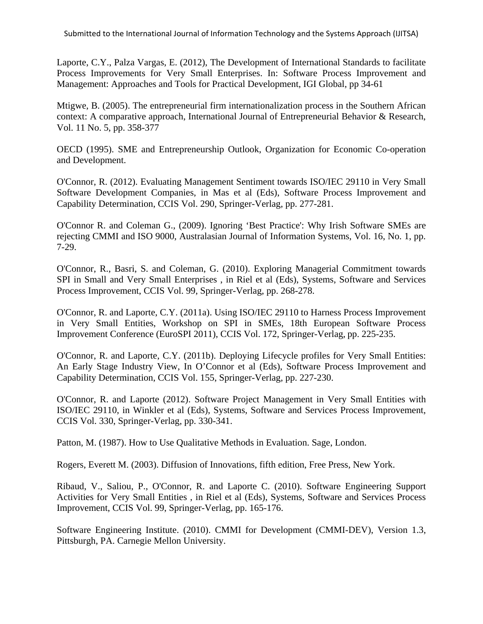Laporte, C.Y., Palza Vargas, E. (2012), The Development of International Standards to facilitate Process Improvements for Very Small Enterprises. In: Software Process Improvement and Management: Approaches and Tools for Practical Development, IGI Global, pp 34-61

Mtigwe, B. (2005). The entrepreneurial firm internationalization process in the Southern African context: A comparative approach, International Journal of Entrepreneurial Behavior & Research, Vol. 11 No. 5, pp. 358-377

OECD (1995). SME and Entrepreneurship Outlook, Organization for Economic Co-operation and Development.

O'Connor, R. (2012). Evaluating Management Sentiment towards ISO/IEC 29110 in Very Small Software Development Companies, in Mas et al (Eds), Software Process Improvement and Capability Determination, CCIS Vol. 290, Springer-Verlag, pp. 277-281.

O'Connor R. and Coleman G., (2009). Ignoring 'Best Practice': Why Irish Software SMEs are rejecting CMMI and ISO 9000, Australasian Journal of Information Systems, Vol. 16, No. 1, pp. 7-29.

O'Connor, R., Basri, S. and Coleman, G. (2010). Exploring Managerial Commitment towards SPI in Small and Very Small Enterprises , in Riel et al (Eds), Systems, Software and Services Process Improvement, CCIS Vol. 99, Springer-Verlag, pp. 268-278.

O'Connor, R. and Laporte, C.Y. (2011a). Using ISO/IEC 29110 to Harness Process Improvement in Very Small Entities, Workshop on SPI in SMEs, 18th European Software Process Improvement Conference (EuroSPI 2011), CCIS Vol. 172, Springer-Verlag, pp. 225-235.

O'Connor, R. and Laporte, C.Y. (2011b). Deploying Lifecycle profiles for Very Small Entities: An Early Stage Industry View, In O'Connor et al (Eds), Software Process Improvement and Capability Determination, CCIS Vol. 155, Springer-Verlag, pp. 227-230.

O'Connor, R. and Laporte (2012). Software Project Management in Very Small Entities with ISO/IEC 29110, in Winkler et al (Eds), Systems, Software and Services Process Improvement, CCIS Vol. 330, Springer-Verlag, pp. 330-341.

Patton, M. (1987). How to Use Qualitative Methods in Evaluation. Sage, London.

Rogers, Everett M. (2003). Diffusion of Innovations, fifth edition, Free Press, New York.

Ribaud, V., Saliou, P., O'Connor, R. and Laporte C. (2010). Software Engineering Support Activities for Very Small Entities , in Riel et al (Eds), Systems, Software and Services Process Improvement, CCIS Vol. 99, Springer-Verlag, pp. 165-176.

Software Engineering Institute. (2010). CMMI for Development (CMMI-DEV), Version 1.3, Pittsburgh, PA. Carnegie Mellon University.